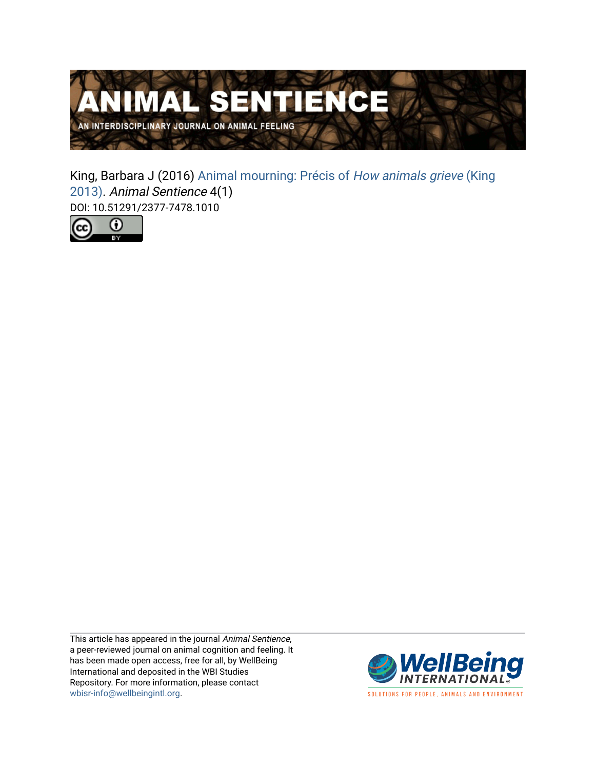

King, Barbara J (2016) [Animal mourning: Précis of](https://www.wellbeingintlstudiesrepository.org/animsent/vol1/iss4/1) How animals grieve (King [2013\).](https://www.wellbeingintlstudiesrepository.org/animsent/vol1/iss4/1) Animal Sentience 4(1) DOI: 10.51291/2377-7478.1010



This article has appeared in the journal Animal Sentience, a peer-reviewed journal on animal cognition and feeling. It has been made open access, free for all, by WellBeing International and deposited in the WBI Studies Repository. For more information, please contact [wbisr-info@wellbeingintl.org](mailto:wbisr-info@wellbeingintl.org).



SOLUTIONS FOR PEOPLE, ANIMALS AND ENVIRONMENT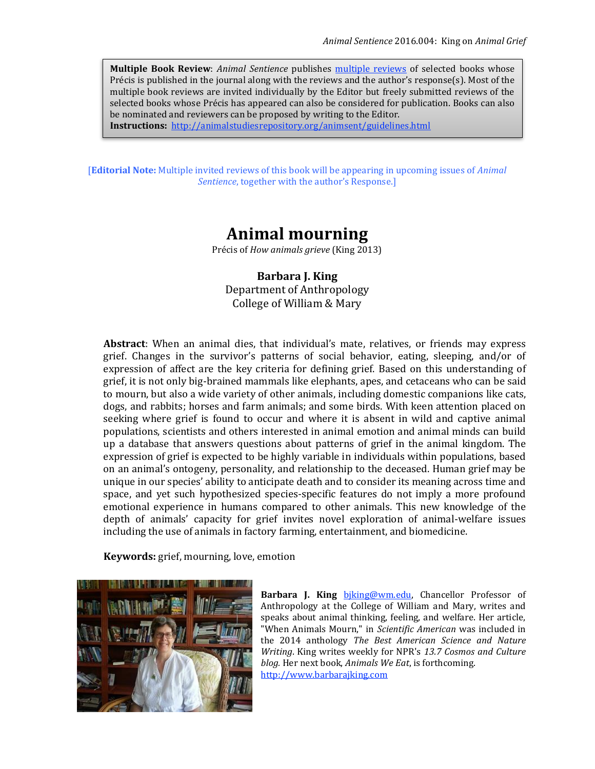**Multiple Book Review**: *Animal Sentience* publishes [multiple reviews](http://users.ecs.soton.ac.uk/harnad/Temp/Kata/bbs.editorial.html) of selected books whose Précis is published in the journal along with the reviews and the author's response(s). Most of the multiple book reviews are invited individually by the Editor but freely submitted reviews of the selected books whose Précis has appeared can also be considered for publication. Books can also be nominated and reviewers can be proposed by writing to the Editor.

**Instructions:** <http://animalstudiesrepository.org/animsent/guidelines.html>

[**Editorial Note:** Multiple invited reviews of this book will be appearing in upcoming issues of *Animal Sentience*, together with the author's Response.]

# **Animal mourning**

Précis of *How animals grieve* (King 2013)

**Barbara J. King** Department of Anthropology College of William & Mary

**Abstract**: When an animal dies, that individual's mate, relatives, or friends may express grief. Changes in the survivor's patterns of social behavior, eating, sleeping, and/or of expression of affect are the key criteria for defining grief. Based on this understanding of grief, it is not only big-brained mammals like elephants, apes, and cetaceans who can be said to mourn, but also a wide variety of other animals, including domestic companions like cats, dogs, and rabbits; horses and farm animals; and some birds. With keen attention placed on seeking where grief is found to occur and where it is absent in wild and captive animal populations, scientists and others interested in animal emotion and animal minds can build up a database that answers questions about patterns of grief in the animal kingdom. The expression of grief is expected to be highly variable in individuals within populations, based on an animal's ontogeny, personality, and relationship to the deceased. Human grief may be unique in our species' ability to anticipate death and to consider its meaning across time and space, and yet such hypothesized species-specific features do not imply a more profound emotional experience in humans compared to other animals. This new knowledge of the depth of animals' capacity for grief invites novel exploration of animal-welfare issues including the use of animals in factory farming, entertainment, and biomedicine.

**Keywords:** grief, mourning, love, emotion



**Barbara J. King biking@wm.edu, Chancellor Professor of** Anthropology at the College of William and Mary, writes and speaks about animal thinking, feeling, and welfare. Her article, "When Animals Mourn," in *Scientific American* was included in the 2014 anthology *The Best American Science and Nature Writing*. King writes weekly for NPR's *13.7 Cosmos and Culture blog.* Her next book, *Animals We Eat*, is forthcoming. [http://www.barbarajking.com](http://www.barbarajking.com/)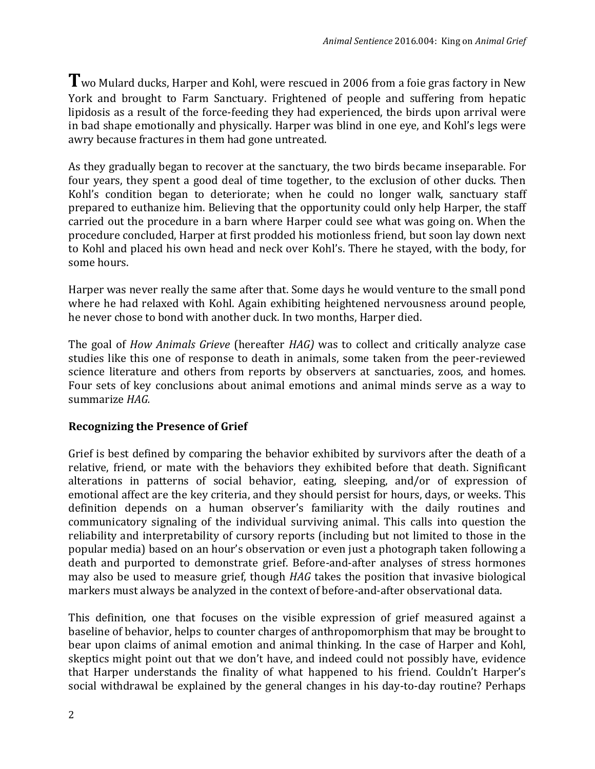Two Mulard ducks, Harper and Kohl, were rescued in 2006 from a foie gras factory in New York and brought to Farm Sanctuary. Frightened of people and suffering from hepatic lipidosis as a result of the force-feeding they had experienced, the birds upon arrival were in bad shape emotionally and physically. Harper was blind in one eye, and Kohl's legs were awry because fractures in them had gone untreated.

As they gradually began to recover at the sanctuary, the two birds became inseparable. For four years, they spent a good deal of time together, to the exclusion of other ducks. Then Kohl's condition began to deteriorate; when he could no longer walk, sanctuary staff prepared to euthanize him. Believing that the opportunity could only help Harper, the staff carried out the procedure in a barn where Harper could see what was going on. When the procedure concluded, Harper at first prodded his motionless friend, but soon lay down next to Kohl and placed his own head and neck over Kohl's. There he stayed, with the body, for some hours.

Harper was never really the same after that. Some days he would venture to the small pond where he had relaxed with Kohl. Again exhibiting heightened nervousness around people, he never chose to bond with another duck. In two months, Harper died.

The goal of *How Animals Grieve* (hereafter *HAG)* was to collect and critically analyze case studies like this one of response to death in animals, some taken from the peer-reviewed science literature and others from reports by observers at sanctuaries, zoos, and homes. Four sets of key conclusions about animal emotions and animal minds serve as a way to summarize *HAG.* 

## **Recognizing the Presence of Grief**

Grief is best defined by comparing the behavior exhibited by survivors after the death of a relative, friend, or mate with the behaviors they exhibited before that death. Significant alterations in patterns of social behavior, eating, sleeping, and/or of expression of emotional affect are the key criteria, and they should persist for hours, days, or weeks. This definition depends on a human observer's familiarity with the daily routines and communicatory signaling of the individual surviving animal. This calls into question the reliability and interpretability of cursory reports (including but not limited to those in the popular media) based on an hour's observation or even just a photograph taken following a death and purported to demonstrate grief. Before-and-after analyses of stress hormones may also be used to measure grief, though *HAG* takes the position that invasive biological markers must always be analyzed in the context of before-and-after observational data.

This definition, one that focuses on the visible expression of grief measured against a baseline of behavior, helps to counter charges of anthropomorphism that may be brought to bear upon claims of animal emotion and animal thinking. In the case of Harper and Kohl, skeptics might point out that we don't have, and indeed could not possibly have, evidence that Harper understands the finality of what happened to his friend. Couldn't Harper's social withdrawal be explained by the general changes in his day-to-day routine? Perhaps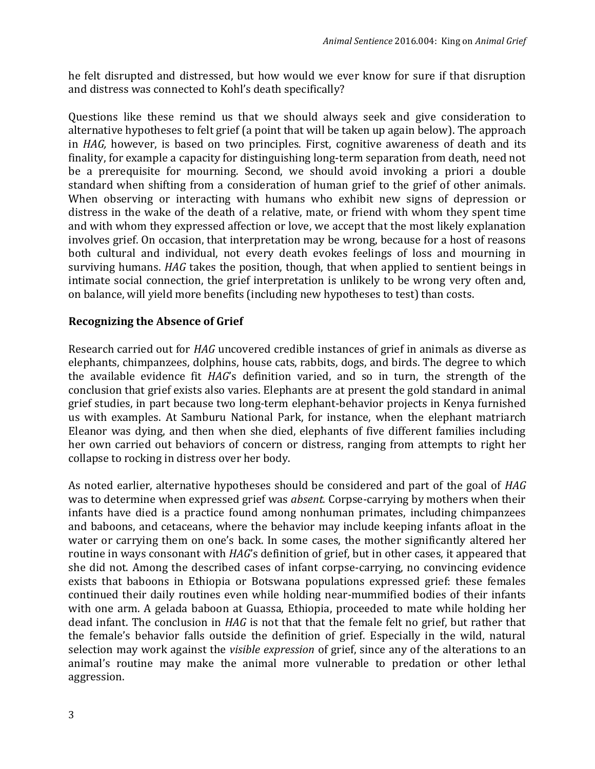he felt disrupted and distressed, but how would we ever know for sure if that disruption and distress was connected to Kohl's death specifically?

Questions like these remind us that we should always seek and give consideration to alternative hypotheses to felt grief (a point that will be taken up again below). The approach in *HAG,* however, is based on two principles. First, cognitive awareness of death and its finality, for example a capacity for distinguishing long-term separation from death, need not be a prerequisite for mourning. Second, we should avoid invoking a priori a double standard when shifting from a consideration of human grief to the grief of other animals. When observing or interacting with humans who exhibit new signs of depression or distress in the wake of the death of a relative, mate, or friend with whom they spent time and with whom they expressed affection or love, we accept that the most likely explanation involves grief. On occasion, that interpretation may be wrong, because for a host of reasons both cultural and individual, not every death evokes feelings of loss and mourning in surviving humans. *HAG* takes the position, though, that when applied to sentient beings in intimate social connection, the grief interpretation is unlikely to be wrong very often and, on balance, will yield more benefits (including new hypotheses to test) than costs.

### **Recognizing the Absence of Grief**

Research carried out for *HAG* uncovered credible instances of grief in animals as diverse as elephants, chimpanzees, dolphins, house cats, rabbits, dogs, and birds. The degree to which the available evidence fit *HAG*'s definition varied, and so in turn, the strength of the conclusion that grief exists also varies. Elephants are at present the gold standard in animal grief studies, in part because two long-term elephant-behavior projects in Kenya furnished us with examples. At Samburu National Park, for instance, when the elephant matriarch Eleanor was dying, and then when she died, elephants of five different families including her own carried out behaviors of concern or distress, ranging from attempts to right her collapse to rocking in distress over her body.

As noted earlier, alternative hypotheses should be considered and part of the goal of *HAG* was to determine when expressed grief was *absent.* Corpse-carrying by mothers when their infants have died is a practice found among nonhuman primates, including chimpanzees and baboons, and cetaceans, where the behavior may include keeping infants afloat in the water or carrying them on one's back. In some cases, the mother significantly altered her routine in ways consonant with *HAG*'s definition of grief, but in other cases, it appeared that she did not. Among the described cases of infant corpse-carrying, no convincing evidence exists that baboons in Ethiopia or Botswana populations expressed grief: these females continued their daily routines even while holding near-mummified bodies of their infants with one arm. A gelada baboon at Guassa, Ethiopia, proceeded to mate while holding her dead infant. The conclusion in *HAG* is not that that the female felt no grief, but rather that the female's behavior falls outside the definition of grief. Especially in the wild, natural selection may work against the *visible expression* of grief, since any of the alterations to an animal's routine may make the animal more vulnerable to predation or other lethal aggression.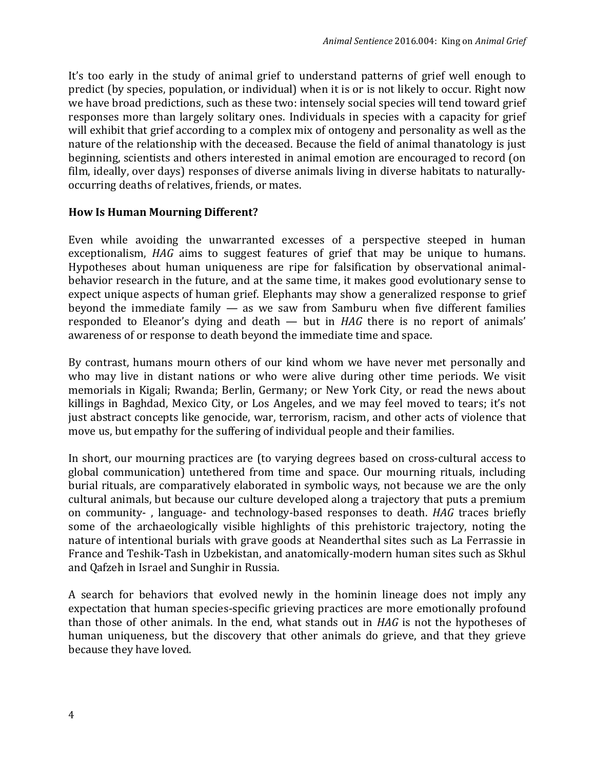It's too early in the study of animal grief to understand patterns of grief well enough to predict (by species, population, or individual) when it is or is not likely to occur. Right now we have broad predictions, such as these two: intensely social species will tend toward grief responses more than largely solitary ones. Individuals in species with a capacity for grief will exhibit that grief according to a complex mix of ontogeny and personality as well as the nature of the relationship with the deceased. Because the field of animal thanatology is just beginning, scientists and others interested in animal emotion are encouraged to record (on film, ideally, over days) responses of diverse animals living in diverse habitats to naturallyoccurring deaths of relatives, friends, or mates.

### **How Is Human Mourning Different?**

Even while avoiding the unwarranted excesses of a perspective steeped in human exceptionalism, *HAG* aims to suggest features of grief that may be unique to humans. Hypotheses about human uniqueness are ripe for falsification by observational animalbehavior research in the future, and at the same time, it makes good evolutionary sense to expect unique aspects of human grief. Elephants may show a generalized response to grief beyond the immediate family — as we saw from Samburu when five different families responded to Eleanor's dying and death — but in *HAG* there is no report of animals' awareness of or response to death beyond the immediate time and space.

By contrast, humans mourn others of our kind whom we have never met personally and who may live in distant nations or who were alive during other time periods. We visit memorials in Kigali; Rwanda; Berlin, Germany; or New York City, or read the news about killings in Baghdad, Mexico City, or Los Angeles, and we may feel moved to tears; it's not just abstract concepts like genocide, war, terrorism, racism, and other acts of violence that move us, but empathy for the suffering of individual people and their families.

In short, our mourning practices are (to varying degrees based on cross-cultural access to global communication) untethered from time and space. Our mourning rituals, including burial rituals, are comparatively elaborated in symbolic ways, not because we are the only cultural animals, but because our culture developed along a trajectory that puts a premium on community- , language- and technology-based responses to death. *HAG* traces briefly some of the archaeologically visible highlights of this prehistoric trajectory, noting the nature of intentional burials with grave goods at Neanderthal sites such as La Ferrassie in France and Teshik-Tash in Uzbekistan, and anatomically-modern human sites such as Skhul and Qafzeh in Israel and Sunghir in Russia.

A search for behaviors that evolved newly in the hominin lineage does not imply any expectation that human species-specific grieving practices are more emotionally profound than those of other animals. In the end, what stands out in *HAG* is not the hypotheses of human uniqueness, but the discovery that other animals do grieve, and that they grieve because they have loved.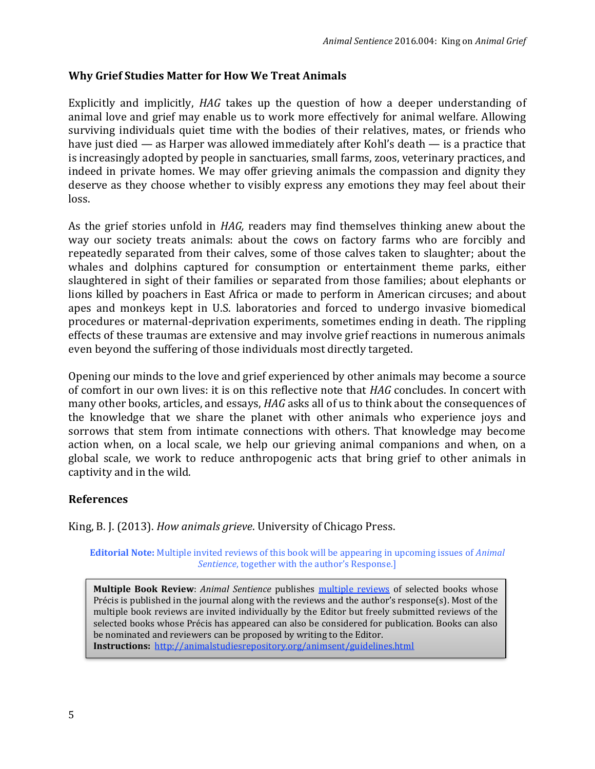### **Why Grief Studies Matter for How We Treat Animals**

Explicitly and implicitly, *HAG* takes up the question of how a deeper understanding of animal love and grief may enable us to work more effectively for animal welfare. Allowing surviving individuals quiet time with the bodies of their relatives, mates, or friends who have just died — as Harper was allowed immediately after Kohl's death — is a practice that is increasingly adopted by people in sanctuaries, small farms, zoos, veterinary practices, and indeed in private homes. We may offer grieving animals the compassion and dignity they deserve as they choose whether to visibly express any emotions they may feel about their loss.

As the grief stories unfold in *HAG,* readers may find themselves thinking anew about the way our society treats animals: about the cows on factory farms who are forcibly and repeatedly separated from their calves, some of those calves taken to slaughter; about the whales and dolphins captured for consumption or entertainment theme parks, either slaughtered in sight of their families or separated from those families; about elephants or lions killed by poachers in East Africa or made to perform in American circuses; and about apes and monkeys kept in U.S. laboratories and forced to undergo invasive biomedical procedures or maternal-deprivation experiments, sometimes ending in death. The rippling effects of these traumas are extensive and may involve grief reactions in numerous animals even beyond the suffering of those individuals most directly targeted.

Opening our minds to the love and grief experienced by other animals may become a source of comfort in our own lives: it is on this reflective note that *HAG* concludes. In concert with many other books, articles, and essays, *HAG* asks all of us to think about the consequences of the knowledge that we share the planet with other animals who experience joys and sorrows that stem from intimate connections with others. That knowledge may become action when, on a local scale, we help our grieving animal companions and when, on a global scale, we work to reduce anthropogenic acts that bring grief to other animals in captivity and in the wild.

### **References**

King, B. J. (2013). *How animals grieve*. University of Chicago Press.

**Editorial Note:** Multiple invited reviews of this book will be appearing in upcoming issues of *Animal Sentience*, together with the author's Response.]

**Multiple Book Review**: *Animal Sentience* publishes [multiple reviews](http://users.ecs.soton.ac.uk/harnad/Temp/Kata/bbs.editorial.html) of selected books whose Précis is published in the journal along with the reviews and the author's response(s). Most of the multiple book reviews are invited individually by the Editor but freely submitted reviews of the selected books whose Précis has appeared can also be considered for publication. Books can also be nominated and reviewers can be proposed by writing to the Editor. **Instructions:** <http://animalstudiesrepository.org/animsent/guidelines.html>